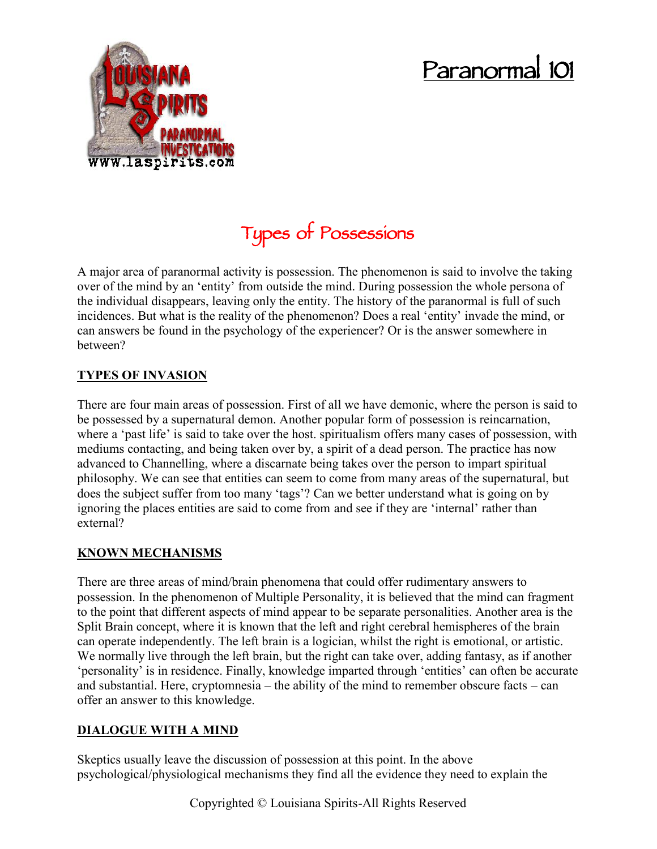# **Paranormal 101**



# **Types of Possessions**

A major area of paranormal activity is possession. The phenomenon is said to involve the taking over of the mind by an 'entity' from outside the mind. During possession the whole persona of the individual disappears, leaving only the entity. The history of the paranormal is full of such incidences. But what is the reality of the phenomenon? Does a real 'entity' invade the mind, or can answers be found in the psychology of the experiencer? Or is the answer somewhere in between?

# **TYPES OF INVASION**

There are four main areas of possession. First of all we have demonic, where the person is said to be possessed by a supernatural demon. Another popular form of possession is reincarnation, where a 'past life' is said to take over the host. spiritualism offers many cases of possession, with mediums contacting, and being taken over by, a spirit of a dead person. The practice has now advanced to Channelling, where a discarnate being takes over the person to impart spiritual philosophy. We can see that entities can seem to come from many areas of the supernatural, but does the subject suffer from too many 'tags'? Can we better understand what is going on by ignoring the places entities are said to come from and see if they are 'internal' rather than external?

## **KNOWN MECHANISMS**

There are three areas of mind/brain phenomena that could offer rudimentary answers to possession. In the phenomenon of Multiple Personality, it is believed that the mind can fragment to the point that different aspects of mind appear to be separate personalities. Another area is the Split Brain concept, where it is known that the left and right cerebral hemispheres of the brain can operate independently. The left brain is a logician, whilst the right is emotional, or artistic. We normally live through the left brain, but the right can take over, adding fantasy, as if another 'personality' is in residence. Finally, knowledge imparted through 'entities' can often be accurate and substantial. Here, cryptomnesia – the ability of the mind to remember obscure facts – can offer an answer to this knowledge.

### **DIALOGUE WITH A MIND**

Skeptics usually leave the discussion of possession at this point. In the above psychological/physiological mechanisms they find all the evidence they need to explain the